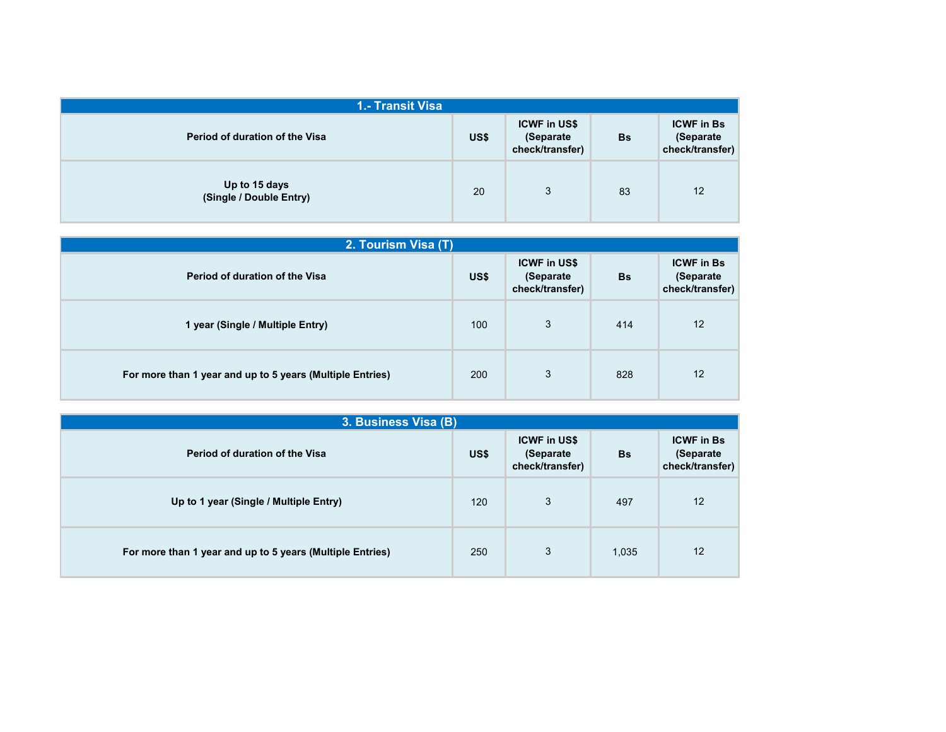| 1.- Transit Visa                         |      |                                                     |           |                                                   |
|------------------------------------------|------|-----------------------------------------------------|-----------|---------------------------------------------------|
| Period of duration of the Visa           | US\$ | <b>ICWF in US\$</b><br>(Separate<br>check/transfer) | <b>Bs</b> | <b>ICWF</b> in Bs<br>(Separate<br>check/transfer) |
| Up to 15 days<br>(Single / Double Entry) | 20   | 3                                                   | 83        | 12                                                |

| 2. Tourism Visa (T)                                       |      |                                                      |           |                                                   |
|-----------------------------------------------------------|------|------------------------------------------------------|-----------|---------------------------------------------------|
| Period of duration of the Visa                            | US\$ | <b>ICWF in US\$</b><br>(Separate)<br>check/transfer) | <b>Bs</b> | <b>ICWF in Bs</b><br>(Separate<br>check/transfer) |
| 1 year (Single / Multiple Entry)                          | 100  | 3                                                    | 414       | 12                                                |
| For more than 1 year and up to 5 years (Multiple Entries) | 200  | 3                                                    | 828       | 12                                                |

| 3. Business Visa (B)                                      |      |                                                     |           |                                                   |
|-----------------------------------------------------------|------|-----------------------------------------------------|-----------|---------------------------------------------------|
| Period of duration of the Visa                            | US\$ | <b>ICWF in US\$</b><br>(Separate<br>check/transfer) | <b>Bs</b> | <b>ICWF in Bs</b><br>(Separate<br>check/transfer) |
| Up to 1 year (Single / Multiple Entry)                    | 120  | 3                                                   | 497       | 12                                                |
| For more than 1 year and up to 5 years (Multiple Entries) | 250  | 3                                                   | 1,035     | 12                                                |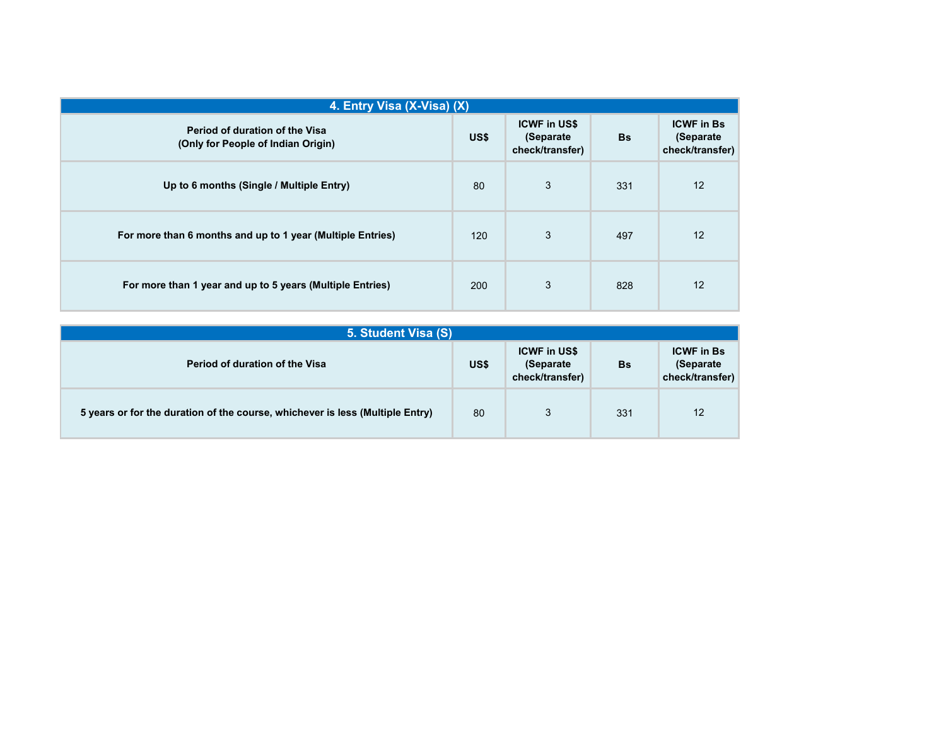| 4. Entry Visa (X-Visa) (X)                                           |      |                                                      |           |                                                    |
|----------------------------------------------------------------------|------|------------------------------------------------------|-----------|----------------------------------------------------|
| Period of duration of the Visa<br>(Only for People of Indian Origin) | US\$ | <b>ICWF in US\$</b><br>(Separate)<br>check/transfer) | <b>Bs</b> | <b>ICWF in Bs</b><br>(Separate)<br>check/transfer) |
| Up to 6 months (Single / Multiple Entry)                             | 80   | 3                                                    | 331       | 12                                                 |
| For more than 6 months and up to 1 year (Multiple Entries)           | 120  | 3                                                    | 497       | 12                                                 |
| For more than 1 year and up to 5 years (Multiple Entries)            | 200  | 3                                                    | 828       | 12                                                 |

| 5. Student Visa (S)                                                           |      |                                                      |     |                                                    |
|-------------------------------------------------------------------------------|------|------------------------------------------------------|-----|----------------------------------------------------|
| <b>Period of duration of the Visa</b>                                         | US\$ | <b>ICWF in US\$</b><br>(Separate)<br>check/transfer) | Bs  | <b>ICWF in Bs</b><br>(Separate)<br>check/transfer) |
| 5 years or for the duration of the course, whichever is less (Multiple Entry) | 80   | 3                                                    | 331 | 12                                                 |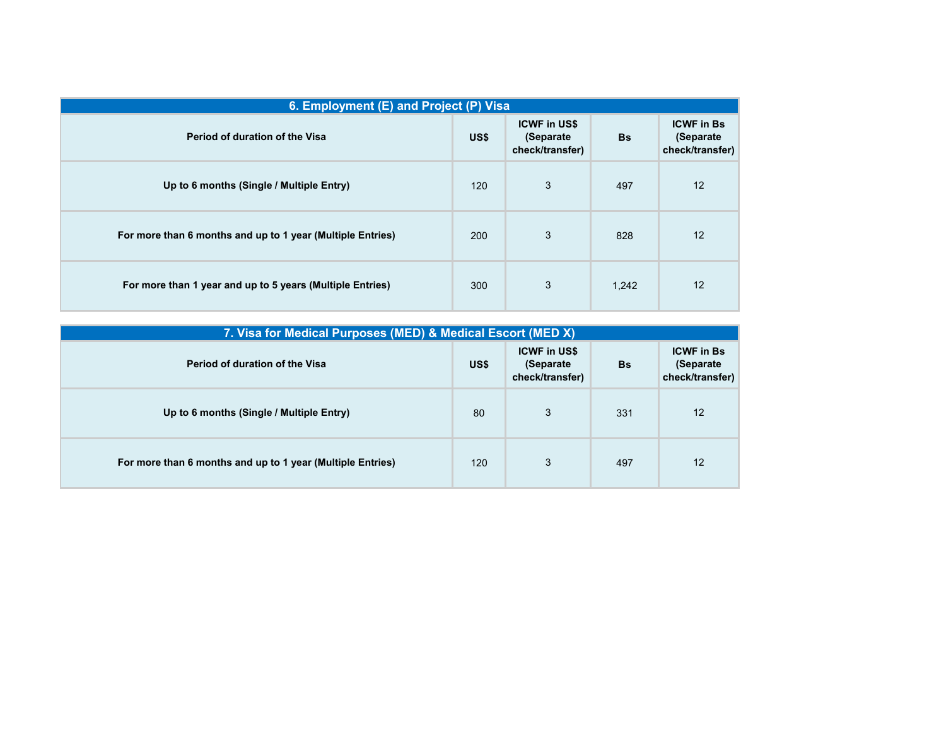| 6. Employment (E) and Project (P) Visa                     |            |                                                      |           |                                                    |
|------------------------------------------------------------|------------|------------------------------------------------------|-----------|----------------------------------------------------|
| Period of duration of the Visa                             | US\$       | <b>ICWF in US\$</b><br>(Separate)<br>check/transfer) | <b>Bs</b> | <b>ICWF</b> in Bs<br>(Separate)<br>check/transfer) |
| Up to 6 months (Single / Multiple Entry)                   | 120        | 3                                                    | 497       | 12                                                 |
| For more than 6 months and up to 1 year (Multiple Entries) | <b>200</b> | 3                                                    | 828       | 12                                                 |
| For more than 1 year and up to 5 years (Multiple Entries)  | 300        | 3                                                    | 1,242     | 12                                                 |

| 7. Visa for Medical Purposes (MED) & Medical Escort (MED X) |      |                                                      |           |                                                    |
|-------------------------------------------------------------|------|------------------------------------------------------|-----------|----------------------------------------------------|
| Period of duration of the Visa                              | US\$ | <b>ICWF in US\$</b><br>(Separate)<br>check/transfer) | <b>Bs</b> | <b>ICWF in Bs</b><br>(Separate)<br>check/transfer) |
| Up to 6 months (Single / Multiple Entry)                    | 80   | 3                                                    | 331       | 12                                                 |
| For more than 6 months and up to 1 year (Multiple Entries)  | 120  | 3                                                    | 497       | 12                                                 |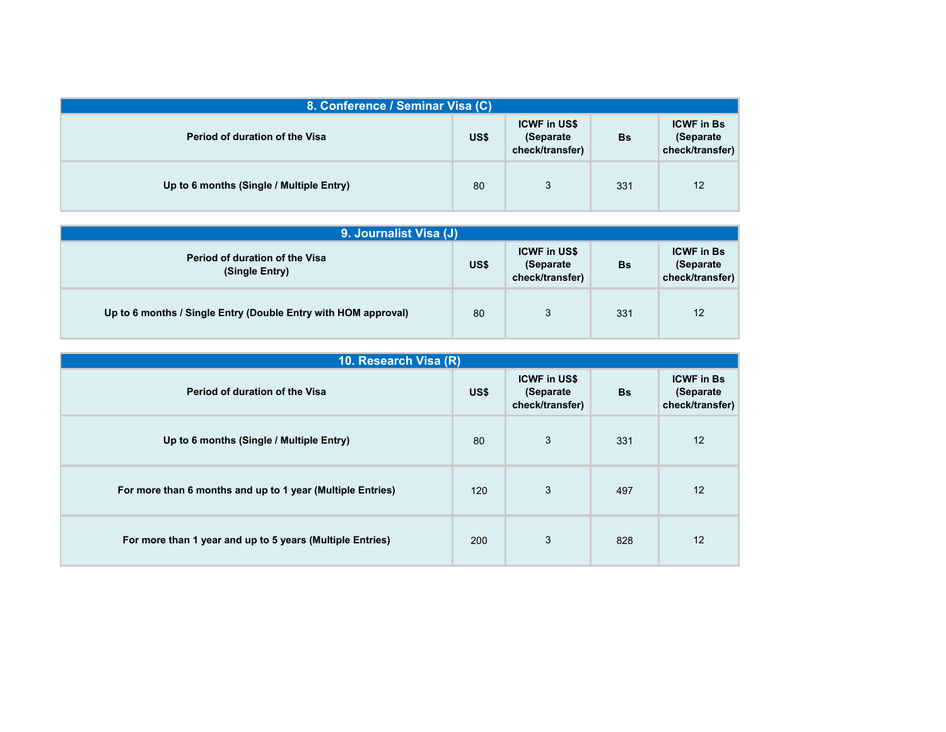| 8. Conference / Seminar Visa (C)         |      |                                                      |     |                                                   |
|------------------------------------------|------|------------------------------------------------------|-----|---------------------------------------------------|
| <b>Period of duration of the Visa</b>    | US\$ | <b>ICWF in US\$</b><br>(Separate)<br>check/transfer) | Bs  | <b>ICWF in Bs</b><br>(Separate<br>check/transfer) |
| Up to 6 months (Single / Multiple Entry) | 80   | 3                                                    | 331 | 12                                                |

| 9. Journalist Visa (J)                                         |      |                                                      |           |                                                    |
|----------------------------------------------------------------|------|------------------------------------------------------|-----------|----------------------------------------------------|
| <b>Period of duration of the Visa</b><br>(Single Entry)        | US\$ | <b>ICWF in US\$</b><br>(Separate)<br>check/transfer) | <b>Bs</b> | <b>ICWF</b> in Bs<br>(Separate)<br>check/transfer) |
| Up to 6 months / Single Entry (Double Entry with HOM approval) | 80   | 3                                                    | 331       | 12                                                 |

| 10. Research Visa (R)                                      |      |                                                      |           |                                                    |
|------------------------------------------------------------|------|------------------------------------------------------|-----------|----------------------------------------------------|
| Period of duration of the Visa                             | US\$ | <b>ICWF in US\$</b><br>(Separate)<br>check/transfer) | <b>Bs</b> | <b>ICWF in Bs</b><br>(Separate)<br>check/transfer) |
| Up to 6 months (Single / Multiple Entry)                   | 80   | 3                                                    | 331       | 12                                                 |
| For more than 6 months and up to 1 year (Multiple Entries) | 120  | 3                                                    | 497       | 12                                                 |
| For more than 1 year and up to 5 years (Multiple Entries)  | 200  | 3                                                    | 828       | 12                                                 |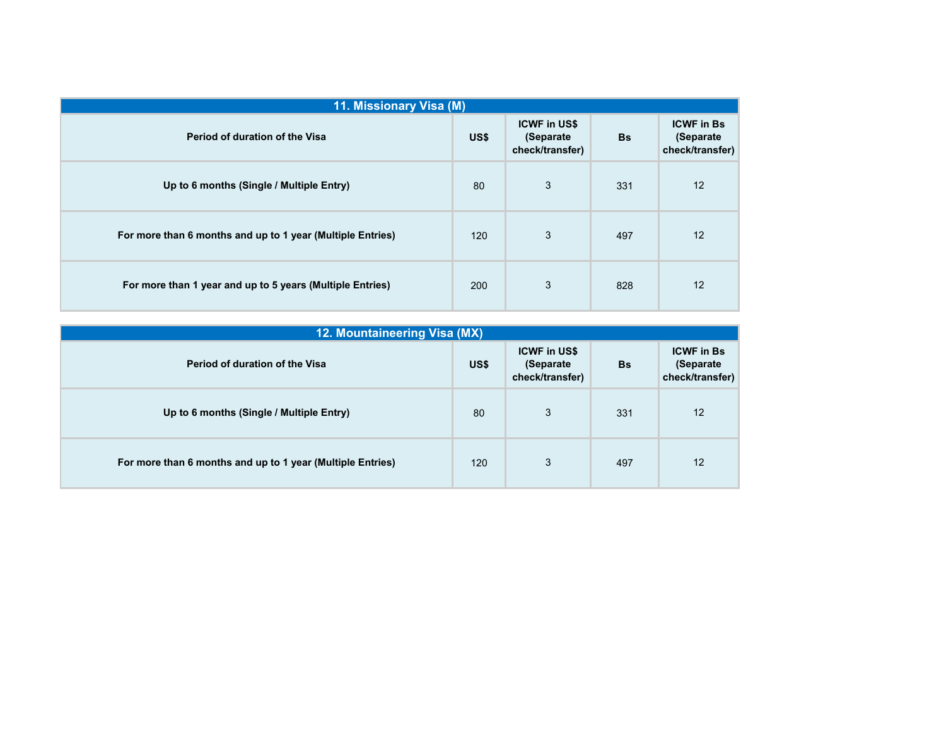| 11. Missionary Visa (M)                                    |            |                                                      |           |                                                    |
|------------------------------------------------------------|------------|------------------------------------------------------|-----------|----------------------------------------------------|
| Period of duration of the Visa                             | US\$       | <b>ICWF in US\$</b><br>(Separate)<br>check/transfer) | <b>Bs</b> | <b>ICWF in Bs</b><br>(Separate)<br>check/transfer) |
| Up to 6 months (Single / Multiple Entry)                   | 80         | 3                                                    | 331       | 12                                                 |
| For more than 6 months and up to 1 year (Multiple Entries) | 120        | 3                                                    | 497       | 12                                                 |
| For more than 1 year and up to 5 years (Multiple Entries)  | <b>200</b> | 3                                                    | 828       | 12                                                 |

| 12. Mountaineering Visa (MX)                               |      |                                                     |           |                                                    |
|------------------------------------------------------------|------|-----------------------------------------------------|-----------|----------------------------------------------------|
| Period of duration of the Visa                             | US\$ | <b>ICWF in US\$</b><br>(Separate<br>check/transfer) | <b>Bs</b> | <b>ICWF in Bs</b><br>(Separate)<br>check/transfer) |
| Up to 6 months (Single / Multiple Entry)                   | 80   | 3                                                   | 331       | 12                                                 |
| For more than 6 months and up to 1 year (Multiple Entries) | 120  | 3                                                   | 497       | 12                                                 |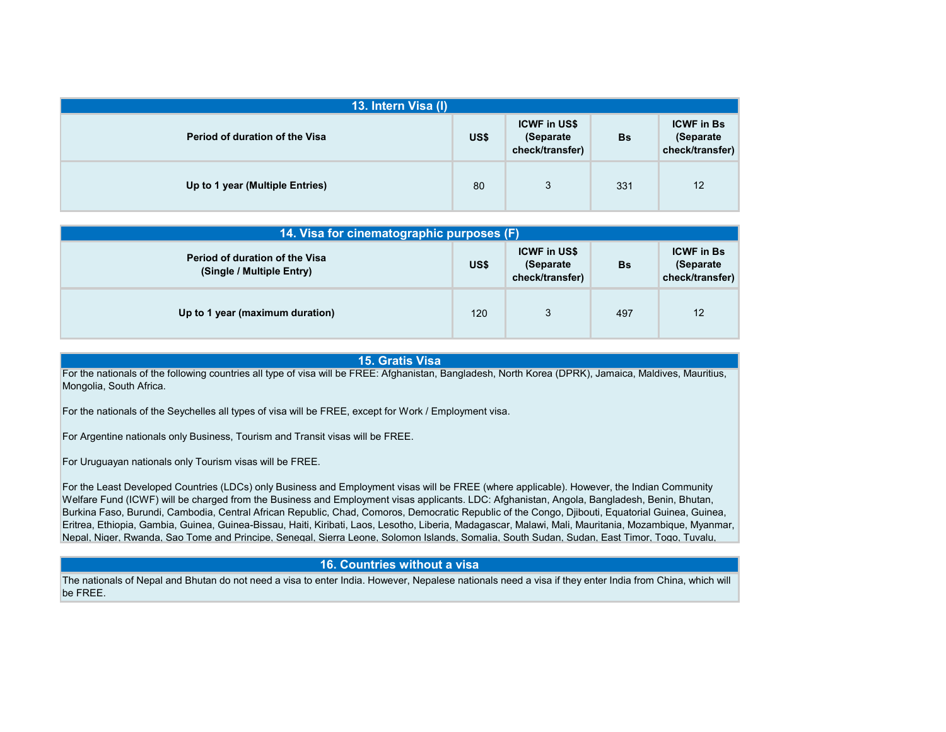| 13. Intern Visa (I)                   |      |                                                     |     |                                                   |  |  |
|---------------------------------------|------|-----------------------------------------------------|-----|---------------------------------------------------|--|--|
| <b>Period of duration of the Visa</b> | US\$ | <b>ICWF in US\$</b><br>(Separate<br>check/transfer) | Bs  | <b>ICWF in Bs</b><br>(Separate<br>check/transfer) |  |  |
| Up to 1 year (Multiple Entries)       | 80   | 3                                                   | 331 | 12                                                |  |  |

| 14. Visa for cinematographic purposes (F)                          |      |                                                      |     |                                                    |  |
|--------------------------------------------------------------------|------|------------------------------------------------------|-----|----------------------------------------------------|--|
| <b>Period of duration of the Visa</b><br>(Single / Multiple Entry) | US\$ | <b>ICWF in US\$</b><br>(Separate)<br>check/transfer) | Bs  | <b>ICWF in Bs</b><br>(Separate)<br>check/transfer) |  |
| Up to 1 year (maximum duration)                                    | 120  | 3                                                    | 497 | 12                                                 |  |

## **15. Gratis Visa**

For the nationals of the following countries all type of visa will be FREE: Afghanistan, Bangladesh, North Korea (DPRK), Jamaica, Maldives, Mauritius, Mongolia, South Africa.

For the nationals of the Seychelles all types of visa will be FREE, except for Work / Employment visa.

For Argentine nationals only Business, Tourism and Transit visas will be FREE.

For Uruguayan nationals only Tourism visas will be FREE.

For the Least Developed Countries (LDCs) only Business and Employment visas will be FREE (where applicable). However, the Indian Community Welfare Fund (ICWF) will be charged from the Business and Employment visas applicants. LDC: Afghanistan, Angola, Bangladesh, Benin, Bhutan, Burkina Faso, Burundi, Cambodia, Central African Republic, Chad, Comoros, Democratic Republic of the Congo, Djibouti, Equatorial Guinea, Guinea, Eritrea, Ethiopia, Gambia, Guinea, Guinea-Bissau, Haiti, Kiribati, Laos, Lesotho, Liberia, Madagascar, Malawi, Mali, Mauritania, Mozambique, Myanmar, Nepal, Niger, Rwanda, Sao Tome and Principe, Senegal, Sierra Leone, Solomon Islands, Somalia, South Sudan, Sudan, East Timor, Togo, Tuvalu,

## **16. Countries without a visa**

The nationals of Nepal and Bhutan do not need a visa to enter India. However, Nepalese nationals need a visa if they enter India from China, which will be FREE.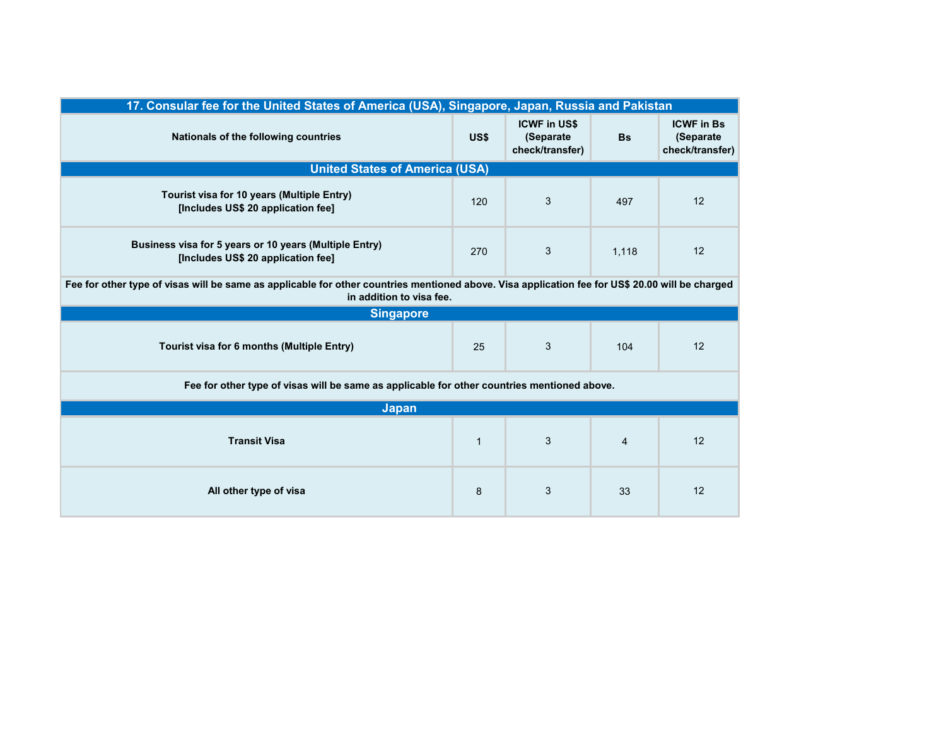| 17. Consular fee for the United States of America (USA), Singapore, Japan, Russia and Pakistan                                                                              |              |                                                     |                |                                                   |  |  |
|-----------------------------------------------------------------------------------------------------------------------------------------------------------------------------|--------------|-----------------------------------------------------|----------------|---------------------------------------------------|--|--|
| Nationals of the following countries                                                                                                                                        | US\$         | <b>ICWF in US\$</b><br>(Separate<br>check/transfer) | <b>Bs</b>      | <b>ICWF in Bs</b><br>(Separate<br>check/transfer) |  |  |
| <b>United States of America (USA)</b>                                                                                                                                       |              |                                                     |                |                                                   |  |  |
| Tourist visa for 10 years (Multiple Entry)<br>[Includes US\$ 20 application fee]                                                                                            | 120          | 3                                                   | 497            | 12                                                |  |  |
| Business visa for 5 years or 10 years (Multiple Entry)<br>[Includes US\$ 20 application fee]                                                                                | 270          | 3                                                   | 1,118          | 12                                                |  |  |
| Fee for other type of visas will be same as applicable for other countries mentioned above. Visa application fee for US\$ 20.00 will be charged<br>in addition to visa fee. |              |                                                     |                |                                                   |  |  |
| <b>Singapore</b>                                                                                                                                                            |              |                                                     |                |                                                   |  |  |
| Tourist visa for 6 months (Multiple Entry)                                                                                                                                  | 25           | 3                                                   | 104            | 12                                                |  |  |
| Fee for other type of visas will be same as applicable for other countries mentioned above.                                                                                 |              |                                                     |                |                                                   |  |  |
| <b>Japan</b>                                                                                                                                                                |              |                                                     |                |                                                   |  |  |
| <b>Transit Visa</b>                                                                                                                                                         | $\mathbf{1}$ | 3                                                   | $\overline{4}$ | 12                                                |  |  |
| All other type of visa                                                                                                                                                      | 8            | 3                                                   | 33             | 12                                                |  |  |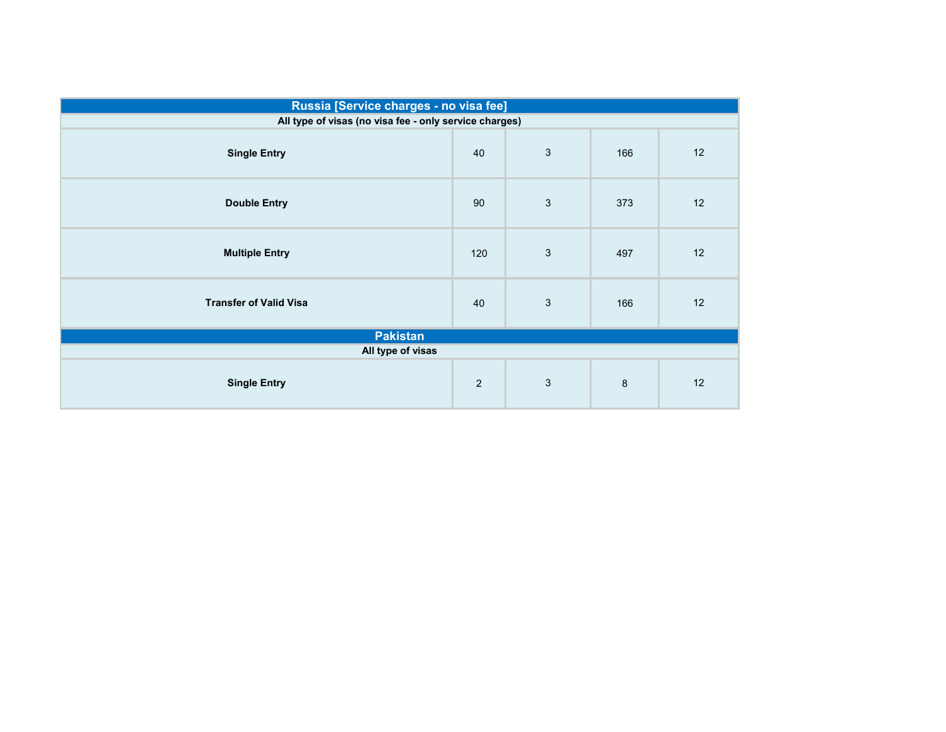|                                                        | Russia [Service charges - no visa fee] |              |     |    |  |  |  |
|--------------------------------------------------------|----------------------------------------|--------------|-----|----|--|--|--|
| All type of visas (no visa fee - only service charges) |                                        |              |     |    |  |  |  |
| <b>Single Entry</b>                                    | 40                                     | $\mathbf{3}$ | 166 | 12 |  |  |  |
| <b>Double Entry</b>                                    | 90                                     | 3            | 373 | 12 |  |  |  |
| <b>Multiple Entry</b>                                  | 120                                    | $\mathbf{3}$ | 497 | 12 |  |  |  |
| <b>Transfer of Valid Visa</b>                          | 40                                     | 3            | 166 | 12 |  |  |  |
| <b>Pakistan</b>                                        |                                        |              |     |    |  |  |  |
| All type of visas                                      |                                        |              |     |    |  |  |  |
| <b>Single Entry</b>                                    | $\overline{2}$                         | 3            | 8   | 12 |  |  |  |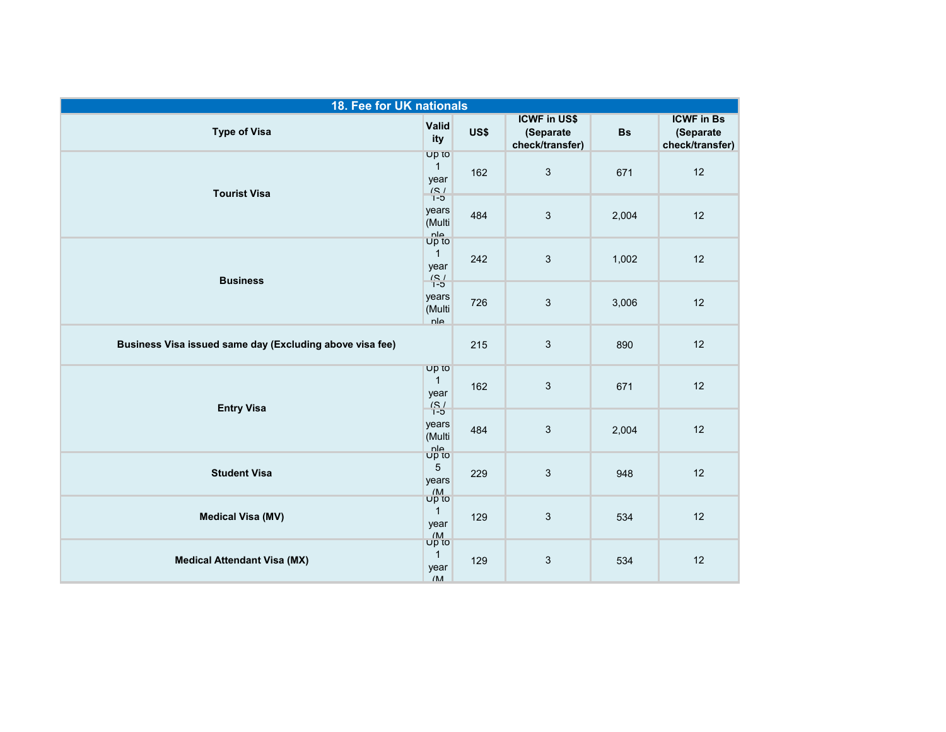| 18. Fee for UK nationals                                 |                                                              |      |                                                     |           |                                                   |
|----------------------------------------------------------|--------------------------------------------------------------|------|-----------------------------------------------------|-----------|---------------------------------------------------|
| <b>Type of Visa</b>                                      | Valid<br>ity                                                 | US\$ | <b>ICWF in US\$</b><br>(Separate<br>check/transfer) | <b>Bs</b> | <b>ICWF in Bs</b><br>(Separate<br>check/transfer) |
| <b>Tourist Visa</b>                                      | Up to<br>$\mathbf{1}$<br>year<br>$\frac{(S)}{1-5}$           | 162  | $\mathbf{3}$                                        | 671       | 12                                                |
|                                                          | years<br>(Multi                                              | 484  | $\sqrt{3}$                                          | 2,004     | 12                                                |
| <b>Business</b>                                          | $\frac{nh}{UP}$<br>$\mathbf{1}$<br>year<br>$\frac{(S)}{1-5}$ | 242  | $\mathfrak{Z}$                                      | 1,002     | 12                                                |
|                                                          | years<br>(Multi<br>nle                                       | 726  | 3                                                   | 3,006     | 12                                                |
| Business Visa issued same day (Excluding above visa fee) |                                                              | 215  | $\mathfrak{Z}$                                      | 890       | 12                                                |
| <b>Entry Visa</b>                                        | Up to<br>$\mathbf{1}$<br>year<br>$\frac{75}{1-5}$            | 162  | $\mathbf{3}$                                        | 671       | 12                                                |
|                                                          | years<br>(Multi                                              | 484  | $\mathfrak{Z}$                                      | 2,004     | 12                                                |
| <b>Student Visa</b>                                      | nle<br>Up to<br>5<br>years<br>$\sqrt{\mathsf{M}}$            | 229  | 3                                                   | 948       | 12                                                |
| <b>Medical Visa (MV)</b>                                 | Up to<br>$\mathbf{1}$<br>year                                | 129  | $\sqrt{3}$                                          | 534       | 12                                                |
| <b>Medical Attendant Visa (MX)</b>                       | $\frac{M}{\text{UP}}$<br>$\mathbf{1}$<br>year<br>/M          | 129  | $\ensuremath{\mathsf{3}}$                           | 534       | 12                                                |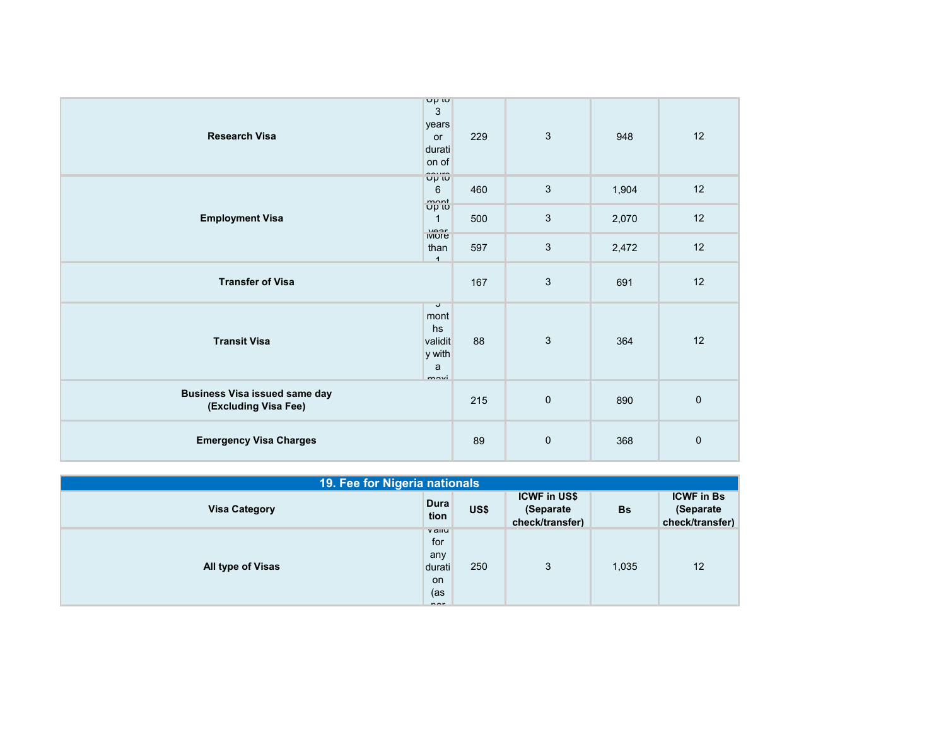| <b>Research Visa</b>                                         | Up tu<br>$\sqrt{3}$<br>years<br>or<br>durati<br>on of              | 229 | $\mathbf{3}$ | 948   | 12          |
|--------------------------------------------------------------|--------------------------------------------------------------------|-----|--------------|-------|-------------|
| <b>Employment Visa</b>                                       | ΰριώ<br>6                                                          | 460 | 3            | 1,904 | 12          |
|                                                              | $\min_{\text{opt}}$<br>$\mathbf{1}$<br>VQ                          | 500 | 3            | 2,070 | 12          |
|                                                              | <b>IVIOLE</b><br>than<br>$\overline{1}$                            | 597 | $\mathbf{3}$ | 2,472 | 12          |
| <b>Transfer of Visa</b>                                      |                                                                    |     | $\mathbf{3}$ | 691   | 12          |
| <b>Transit Visa</b>                                          | $\mathbf{\dot{v}}$<br>mont<br>hs<br>validit<br>y with<br>a<br>mari | 88  | $\mathbf{3}$ | 364   | 12          |
| <b>Business Visa issued same day</b><br>(Excluding Visa Fee) |                                                                    | 215 | $\mathbf 0$  | 890   | $\mathbf 0$ |
| <b>Emergency Visa Charges</b>                                |                                                                    | 89  | $\pmb{0}$    | 368   | $\pmb{0}$   |

| 19. Fee for Nigeria nationals |                                                                           |      |                                                     |           |                                                   |  |
|-------------------------------|---------------------------------------------------------------------------|------|-----------------------------------------------------|-----------|---------------------------------------------------|--|
| <b>Visa Category</b>          | Dura<br>tion                                                              | US\$ | <b>ICWF in US\$</b><br>(Separate<br>check/transfer) | <b>Bs</b> | <b>ICWF</b> in Bs<br>(Separate<br>check/transfer) |  |
| <b>All type of Visas</b>      | <b>v</b> allu<br>for<br>any<br>durati<br><b>on</b><br>(as<br>$n \wedge r$ | 250  | 3                                                   | 1,035     | 12                                                |  |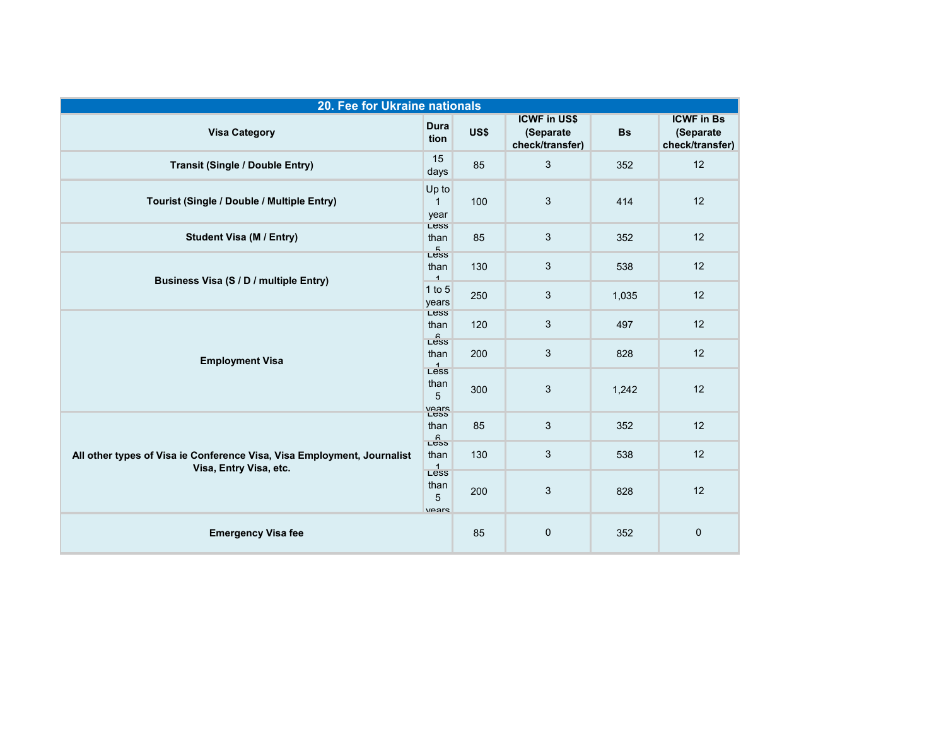| 20. Fee for Ukraine nationals                                                                     |                                |      |                                                     |           |                                                   |  |  |
|---------------------------------------------------------------------------------------------------|--------------------------------|------|-----------------------------------------------------|-----------|---------------------------------------------------|--|--|
| <b>Visa Category</b>                                                                              | <b>Dura</b><br>tion            | US\$ | <b>ICWF in US\$</b><br>(Separate<br>check/transfer) | <b>Bs</b> | <b>ICWF in Bs</b><br>(Separate<br>check/transfer) |  |  |
| <b>Transit (Single / Double Entry)</b>                                                            | 15<br>days                     | 85   | $\mathbf{3}$                                        | 352       | 12                                                |  |  |
| Tourist (Single / Double / Multiple Entry)                                                        | Up to<br>1<br>year             | 100  | 3                                                   | 414       | 12                                                |  |  |
| <b>Student Visa (M / Entry)</b>                                                                   | Less<br>than<br>$E_{\text{L}}$ | 85   | $\sqrt{3}$                                          | 352       | 12                                                |  |  |
| Business Visa (S / D / multiple Entry)                                                            | than<br>$\overline{1}$         | 130  | $\sqrt{3}$                                          | 538       | 12                                                |  |  |
|                                                                                                   | $1$ to $5$<br>years<br>Less    | 250  | 3                                                   | 1,035     | 12                                                |  |  |
|                                                                                                   | than<br>$\mathsf{L}$ ess       | 120  | $\sqrt{3}$                                          | 497       | 12                                                |  |  |
| <b>Employment Visa</b>                                                                            | than<br>$\frac{1}{L}$          | 200  | $\mathbf{3}$                                        | 828       | 12                                                |  |  |
|                                                                                                   | than<br>5<br>Vears<br>Less     | 300  | $\mathbf{3}$                                        | 1,242     | 12                                                |  |  |
|                                                                                                   | than<br>$\frac{6}{1}$          | 85   | $\sqrt{3}$                                          | 352       | 12                                                |  |  |
| All other types of Visa ie Conference Visa, Visa Employment, Journalist<br>Visa, Entry Visa, etc. | than<br>L <sup>4</sup>         | 130  | 3                                                   | 538       | 12                                                |  |  |
|                                                                                                   | than<br>5<br>$V\Omega$         | 200  | $\mathbf{3}$                                        | 828       | 12                                                |  |  |
| <b>Emergency Visa fee</b>                                                                         |                                | 85   | $\pmb{0}$                                           | 352       | 0                                                 |  |  |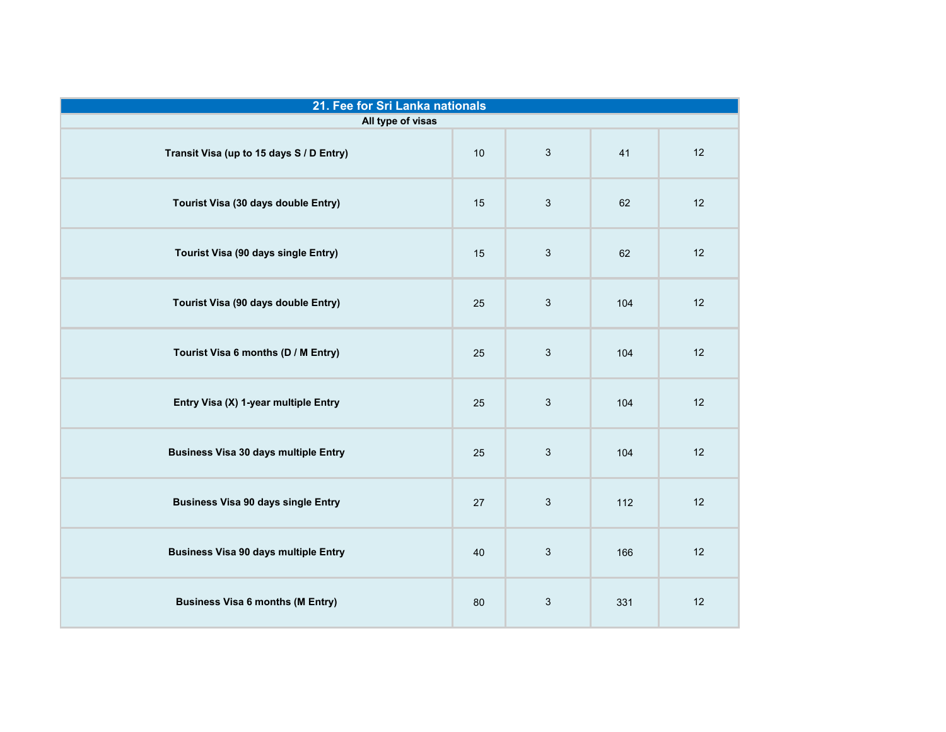| 21. Fee for Sri Lanka nationals             |    |              |     |    |  |  |
|---------------------------------------------|----|--------------|-----|----|--|--|
| All type of visas                           |    |              |     |    |  |  |
| Transit Visa (up to 15 days S / D Entry)    | 10 | 3            | 41  | 12 |  |  |
| Tourist Visa (30 days double Entry)         | 15 | $\mathbf{3}$ | 62  | 12 |  |  |
| Tourist Visa (90 days single Entry)         | 15 | 3            | 62  | 12 |  |  |
| Tourist Visa (90 days double Entry)         | 25 | $\mathbf{3}$ | 104 | 12 |  |  |
| Tourist Visa 6 months (D / M Entry)         | 25 | 3            | 104 | 12 |  |  |
| Entry Visa (X) 1-year multiple Entry        | 25 | 3            | 104 | 12 |  |  |
| <b>Business Visa 30 days multiple Entry</b> | 25 | 3            | 104 | 12 |  |  |
| <b>Business Visa 90 days single Entry</b>   | 27 | 3            | 112 | 12 |  |  |
| <b>Business Visa 90 days multiple Entry</b> | 40 | 3            | 166 | 12 |  |  |
| <b>Business Visa 6 months (M Entry)</b>     | 80 | 3            | 331 | 12 |  |  |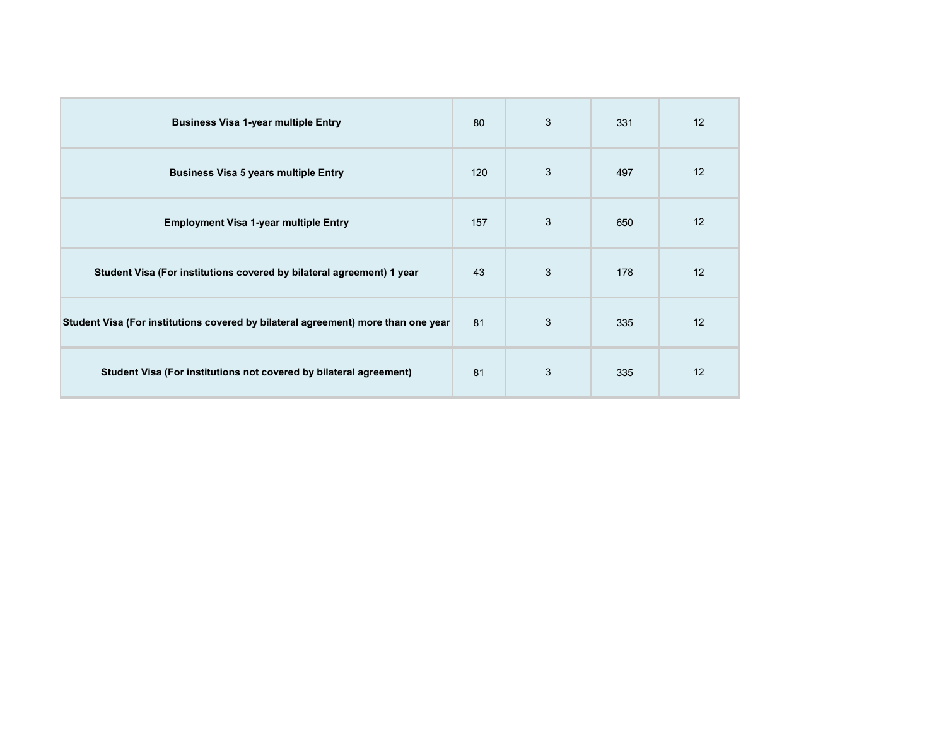| <b>Business Visa 1-year multiple Entry</b>                                        | 80  | 3 | 331 | 12 |
|-----------------------------------------------------------------------------------|-----|---|-----|----|
| <b>Business Visa 5 years multiple Entry</b>                                       | 120 | 3 | 497 | 12 |
| <b>Employment Visa 1-year multiple Entry</b>                                      | 157 | 3 | 650 | 12 |
| Student Visa (For institutions covered by bilateral agreement) 1 year             | 43  | 3 | 178 | 12 |
| Student Visa (For institutions covered by bilateral agreement) more than one year |     | 3 | 335 | 12 |
| Student Visa (For institutions not covered by bilateral agreement)                | 81  | 3 | 335 | 12 |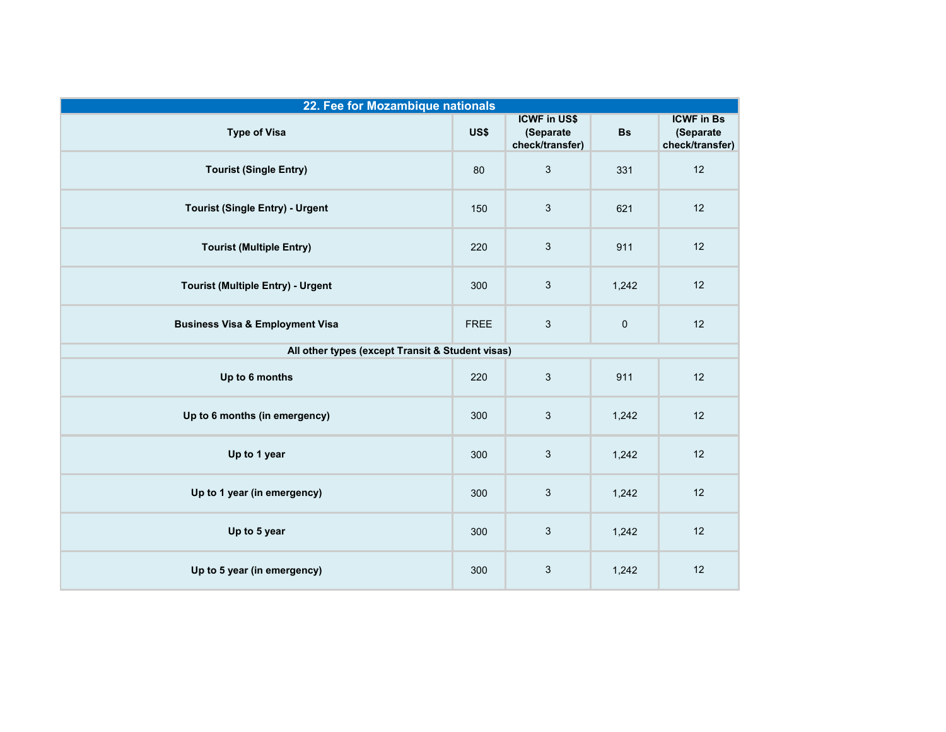| 22. Fee for Mozambique nationals                 |             |                                                     |             |                                                   |  |  |
|--------------------------------------------------|-------------|-----------------------------------------------------|-------------|---------------------------------------------------|--|--|
| <b>Type of Visa</b>                              | US\$        | <b>ICWF in US\$</b><br>(Separate<br>check/transfer) | <b>Bs</b>   | <b>ICWF in Bs</b><br>(Separate<br>check/transfer) |  |  |
| <b>Tourist (Single Entry)</b>                    | 80          | 3                                                   | 331         | 12                                                |  |  |
| <b>Tourist (Single Entry) - Urgent</b>           | 150         | $\sqrt{3}$                                          | 621         | 12                                                |  |  |
| <b>Tourist (Multiple Entry)</b>                  | 220         | $\sqrt{3}$                                          | 911         | 12                                                |  |  |
| <b>Tourist (Multiple Entry) - Urgent</b>         | 300         | $\sqrt{3}$                                          | 1,242       | 12                                                |  |  |
| <b>Business Visa &amp; Employment Visa</b>       | <b>FREE</b> | 3                                                   | $\mathbf 0$ | 12                                                |  |  |
| All other types (except Transit & Student visas) |             |                                                     |             |                                                   |  |  |
| Up to 6 months                                   | 220         | $\sqrt{3}$                                          | 911         | 12                                                |  |  |
| Up to 6 months (in emergency)                    | 300         | $\sqrt{3}$                                          | 1,242       | 12                                                |  |  |
| Up to 1 year                                     | 300         | 3                                                   | 1,242       | 12                                                |  |  |
| Up to 1 year (in emergency)                      | 300         | 3                                                   | 1,242       | 12                                                |  |  |
| Up to 5 year                                     | 300         | $\sqrt{3}$                                          | 1,242       | 12                                                |  |  |
| Up to 5 year (in emergency)                      | 300         | $\sqrt{3}$                                          | 1,242       | 12                                                |  |  |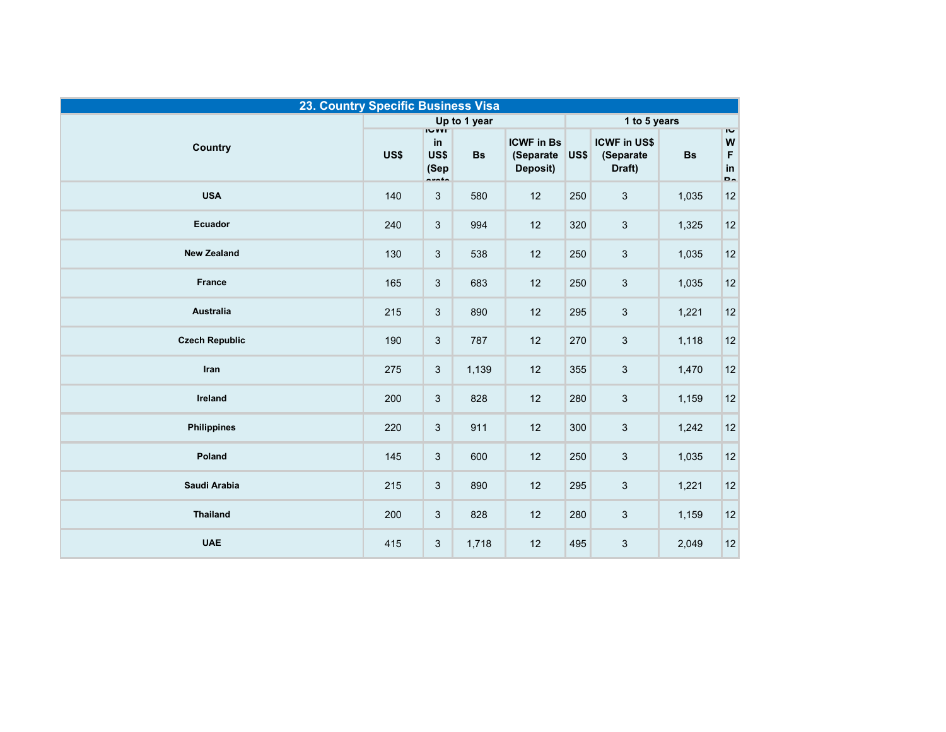| 23. Country Specific Business Visa |              |                                        |           |                                            |              |                                            |           |                                                         |
|------------------------------------|--------------|----------------------------------------|-----------|--------------------------------------------|--------------|--------------------------------------------|-----------|---------------------------------------------------------|
|                                    | Up to 1 year |                                        |           |                                            | 1 to 5 years |                                            |           |                                                         |
| <b>Country</b>                     | US\$         | <b>IVVIT</b><br>in<br>US\$<br>(Sep<br> | <b>Bs</b> | <b>ICWF in Bs</b><br>(Separate<br>Deposit) | US\$         | <b>ICWF in US\$</b><br>(Separate<br>Draft) | <b>Bs</b> | $\overline{\mathbf{c}}$<br>W<br>$\mathsf F$<br>in<br>b. |
| <b>USA</b>                         | 140          | $\ensuremath{\mathsf{3}}$              | 580       | 12                                         | 250          | 3                                          | 1,035     | 12                                                      |
| Ecuador                            | 240          | $\sqrt{3}$                             | 994       | 12                                         | 320          | 3                                          | 1,325     | 12                                                      |
| <b>New Zealand</b>                 | 130          | 3                                      | 538       | 12                                         | 250          | $\sqrt{3}$                                 | 1,035     | 12                                                      |
| <b>France</b>                      | 165          | 3                                      | 683       | 12                                         | 250          | 3                                          | 1,035     | $12$                                                    |
| <b>Australia</b>                   | 215          | $\sqrt{3}$                             | 890       | 12                                         | 295          | $\mathfrak{S}$                             | 1,221     | 12                                                      |
| <b>Czech Republic</b>              | 190          | $\sqrt{3}$                             | 787       | 12                                         | 270          | $\sqrt{3}$                                 | 1,118     | 12                                                      |
| Iran                               | 275          | $\sqrt{3}$                             | 1,139     | 12                                         | 355          | 3                                          | 1,470     | $12$                                                    |
| Ireland                            | 200          | $\ensuremath{\mathsf{3}}$              | 828       | 12                                         | 280          | 3                                          | 1,159     | 12                                                      |
| <b>Philippines</b>                 | 220          | $\sqrt{3}$                             | 911       | 12                                         | 300          | $\sqrt{3}$                                 | 1,242     | 12                                                      |
| Poland                             | 145          | 3                                      | 600       | 12                                         | 250          | $\mathfrak{S}$                             | 1,035     | $12$                                                    |
| Saudi Arabia                       | 215          | 3                                      | 890       | 12                                         | 295          | 3                                          | 1,221     | 12                                                      |
| <b>Thailand</b>                    | 200          | 3                                      | 828       | 12                                         | 280          | 3                                          | 1,159     | 12                                                      |
| <b>UAE</b>                         | 415          | $\ensuremath{\mathsf{3}}$              | 1,718     | 12                                         | 495          | 3                                          | 2,049     | 12                                                      |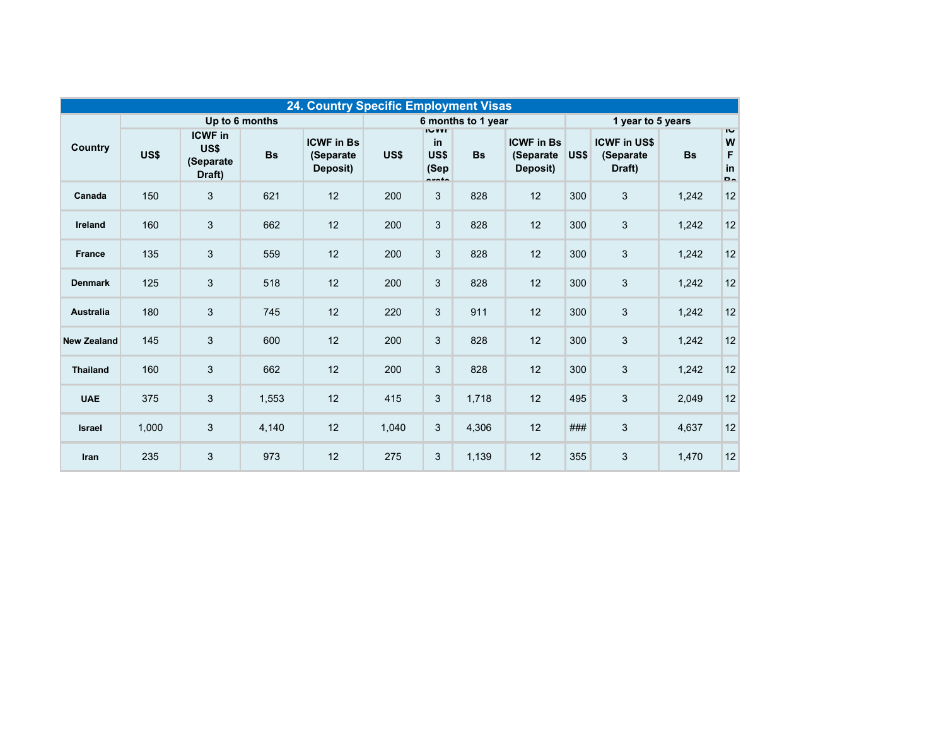| 24. Country Specific Employment Visas |                |                                                |           |                                            |       |                                           |           |                                             |      |                                            |           |                                                  |
|---------------------------------------|----------------|------------------------------------------------|-----------|--------------------------------------------|-------|-------------------------------------------|-----------|---------------------------------------------|------|--------------------------------------------|-----------|--------------------------------------------------|
|                                       | Up to 6 months |                                                |           | 6 months to 1 year                         |       |                                           |           | 1 year to 5 years                           |      |                                            |           |                                                  |
| <b>Country</b>                        | US\$           | <b>ICWF</b> in<br>US\$<br>(Separate)<br>Draft) | <b>Bs</b> | <b>ICWF in Bs</b><br>(Separate<br>Deposit) | US\$  | IVV<br>in<br>US\$<br>(Sep<br><b>nunta</b> | <b>Bs</b> | <b>ICWF in Bs</b><br>(Separate)<br>Deposit) | US\$ | <b>ICWF in US\$</b><br>(Separate<br>Draft) | <b>Bs</b> | $\overline{1}$<br>W<br>F<br>in<br>D <sub>o</sub> |
| Canada                                | 150            | $\sqrt{3}$                                     | 621       | 12                                         | 200   | 3                                         | 828       | 12                                          | 300  | 3                                          | 1,242     | 12                                               |
| Ireland                               | 160            | $\sqrt{3}$                                     | 662       | 12                                         | 200   | 3                                         | 828       | 12                                          | 300  | 3                                          | 1,242     | 12                                               |
| <b>France</b>                         | 135            | $\mathfrak{B}$                                 | 559       | 12                                         | 200   | 3                                         | 828       | 12                                          | 300  | 3                                          | 1,242     | 12                                               |
| <b>Denmark</b>                        | 125            | $\sqrt{3}$                                     | 518       | 12                                         | 200   | 3                                         | 828       | 12                                          | 300  | 3                                          | 1,242     | 12                                               |
| Australia                             | 180            | $\mathbf{3}$                                   | 745       | 12                                         | 220   | 3                                         | 911       | 12                                          | 300  | 3                                          | 1,242     | 12                                               |
| <b>New Zealand</b>                    | 145            | $\sqrt{3}$                                     | 600       | 12                                         | 200   | 3                                         | 828       | 12                                          | 300  | 3                                          | 1,242     | 12                                               |
| <b>Thailand</b>                       | 160            | $\sqrt{3}$                                     | 662       | 12                                         | 200   | 3                                         | 828       | 12                                          | 300  | 3                                          | 1,242     | 12                                               |
| <b>UAE</b>                            | 375            | $\sqrt{3}$                                     | 1,553     | 12                                         | 415   | 3                                         | 1,718     | 12                                          | 495  | 3                                          | 2,049     | 12                                               |
| <b>Israel</b>                         | 1,000          | $\sqrt{3}$                                     | 4,140     | 12                                         | 1,040 | 3                                         | 4,306     | 12                                          | ###  | 3                                          | 4,637     | 12                                               |
| Iran                                  | 235            | $\sqrt{3}$                                     | 973       | 12                                         | 275   | $\sqrt{3}$                                | 1,139     | 12                                          | 355  | 3                                          | 1,470     | 12                                               |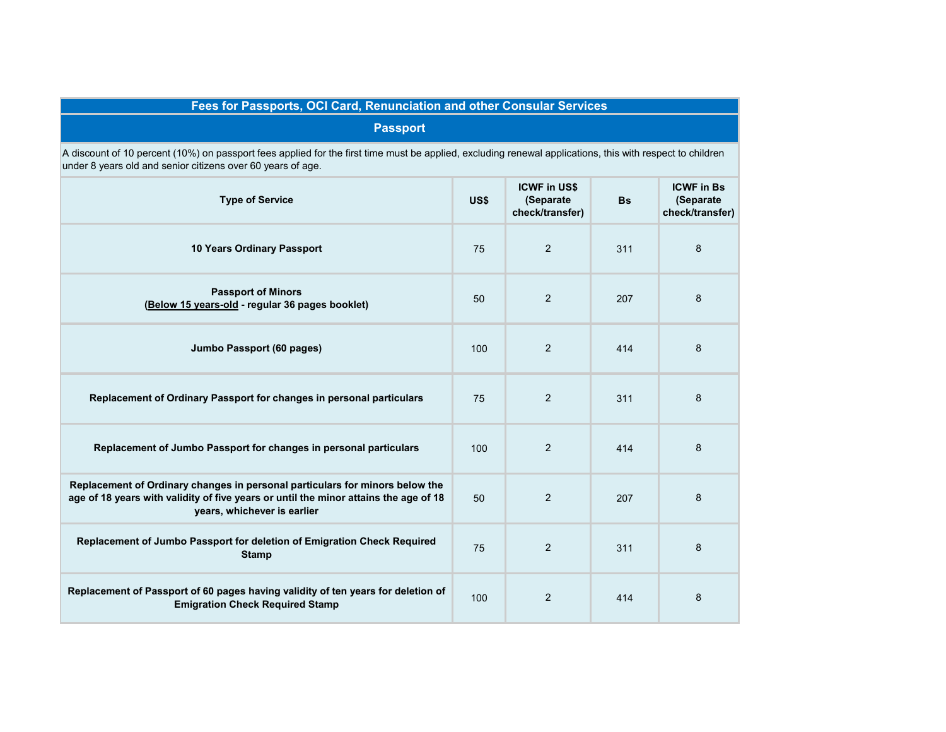## **Fees for Passports, OCI Card, Renunciation and other Consular Services**

## **Passport**

A discount of 10 percent (10%) on passport fees applied for the first time must be applied, excluding renewal applications, this with respect to children under 8 years old and senior citizens over 60 years of age.

| <b>Type of Service</b>                                                                                                                                                                              | US\$ | <b>ICWF in US\$</b><br>(Separate<br>check/transfer) | <b>Bs</b> | <b>ICWF in Bs</b><br>(Separate<br>check/transfer) |
|-----------------------------------------------------------------------------------------------------------------------------------------------------------------------------------------------------|------|-----------------------------------------------------|-----------|---------------------------------------------------|
| 10 Years Ordinary Passport                                                                                                                                                                          | 75   | 2                                                   | 311       | 8                                                 |
| <b>Passport of Minors</b><br>(Below 15 years-old - regular 36 pages booklet)                                                                                                                        | 50   | $\overline{2}$                                      | 207       | 8                                                 |
| Jumbo Passport (60 pages)                                                                                                                                                                           | 100  | 2                                                   | 414       | 8                                                 |
| Replacement of Ordinary Passport for changes in personal particulars                                                                                                                                | 75   | 2                                                   | 311       | 8                                                 |
| Replacement of Jumbo Passport for changes in personal particulars                                                                                                                                   | 100  | $\overline{2}$                                      | 414       | 8                                                 |
| Replacement of Ordinary changes in personal particulars for minors below the<br>age of 18 years with validity of five years or until the minor attains the age of 18<br>years, whichever is earlier | 50   | 2                                                   | 207       | 8                                                 |
| Replacement of Jumbo Passport for deletion of Emigration Check Required<br><b>Stamp</b>                                                                                                             | 75   | 2                                                   | 311       | 8                                                 |
| Replacement of Passport of 60 pages having validity of ten years for deletion of<br><b>Emigration Check Required Stamp</b>                                                                          | 100  | $\overline{2}$                                      | 414       | 8                                                 |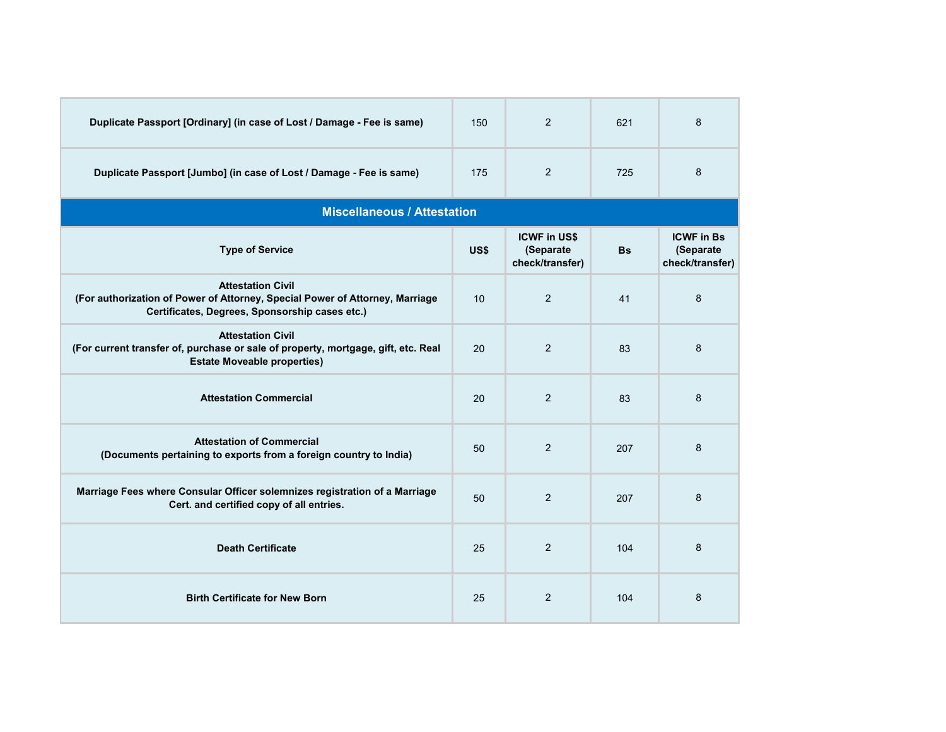| Duplicate Passport [Ordinary] (in case of Lost / Damage - Fee is same)                                                                                     | 150  | $\overline{2}$                                      | 621       | 8                                                 |
|------------------------------------------------------------------------------------------------------------------------------------------------------------|------|-----------------------------------------------------|-----------|---------------------------------------------------|
| Duplicate Passport [Jumbo] (in case of Lost / Damage - Fee is same)                                                                                        | 175  | $\overline{2}$                                      | 725       | 8                                                 |
| <b>Miscellaneous / Attestation</b>                                                                                                                         |      |                                                     |           |                                                   |
| <b>Type of Service</b>                                                                                                                                     | US\$ | <b>ICWF in US\$</b><br>(Separate<br>check/transfer) | <b>Bs</b> | <b>ICWF in Bs</b><br>(Separate<br>check/transfer) |
| <b>Attestation Civil</b><br>(For authorization of Power of Attorney, Special Power of Attorney, Marriage<br>Certificates, Degrees, Sponsorship cases etc.) | 10   | $\overline{2}$                                      | 41        | 8                                                 |
| <b>Attestation Civil</b><br>(For current transfer of, purchase or sale of property, mortgage, gift, etc. Real<br><b>Estate Moveable properties)</b>        | 20   | $\overline{2}$                                      | 83        | 8                                                 |
| <b>Attestation Commercial</b>                                                                                                                              | 20   | 2                                                   | 83        | 8                                                 |
| <b>Attestation of Commercial</b><br>(Documents pertaining to exports from a foreign country to India)                                                      | 50   | 2                                                   | 207       | 8                                                 |
| Marriage Fees where Consular Officer solemnizes registration of a Marriage<br>Cert. and certified copy of all entries.                                     | 50   | 2                                                   | 207       | 8                                                 |
| <b>Death Certificate</b>                                                                                                                                   | 25   | 2                                                   | 104       | 8                                                 |
| <b>Birth Certificate for New Born</b>                                                                                                                      | 25   | 2                                                   | 104       | 8                                                 |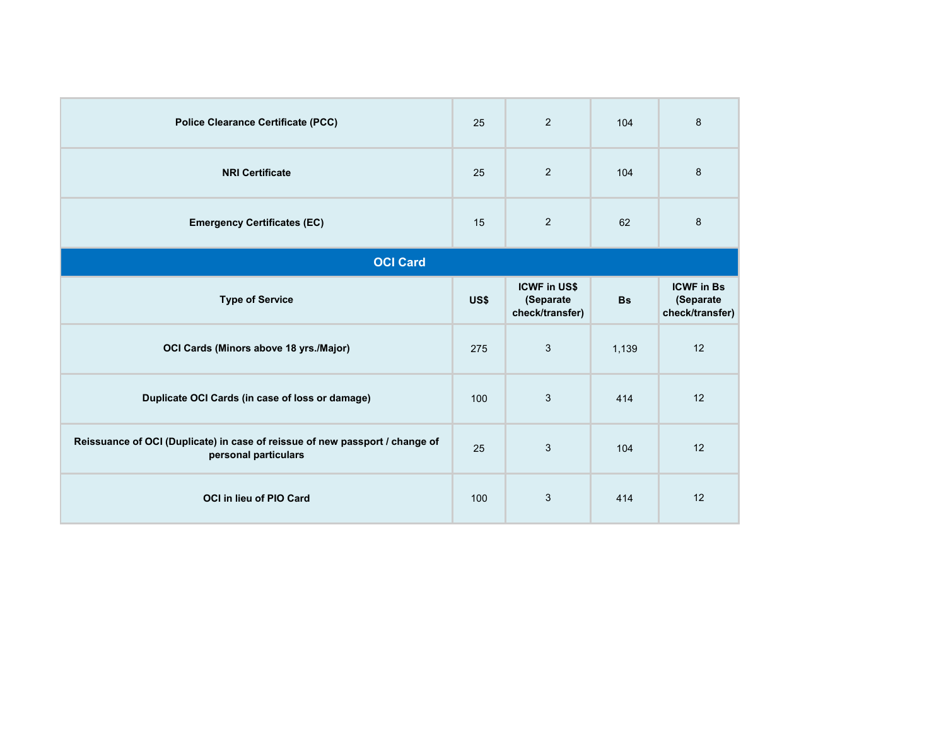| <b>Police Clearance Certificate (PCC)</b>                                                            | 25   | 2                                                   | 104       | 8                                                 |  |  |  |
|------------------------------------------------------------------------------------------------------|------|-----------------------------------------------------|-----------|---------------------------------------------------|--|--|--|
| <b>NRI Certificate</b>                                                                               | 25   | 2                                                   | 104       | 8                                                 |  |  |  |
| <b>Emergency Certificates (EC)</b>                                                                   | 15   | 2                                                   | 62        | $\,8\,$                                           |  |  |  |
| <b>OCI Card</b>                                                                                      |      |                                                     |           |                                                   |  |  |  |
| <b>Type of Service</b>                                                                               | US\$ | <b>ICWF in US\$</b><br>(Separate<br>check/transfer) | <b>Bs</b> | <b>ICWF in Bs</b><br>(Separate<br>check/transfer) |  |  |  |
| OCI Cards (Minors above 18 yrs./Major)                                                               | 275  | 3                                                   | 1,139     | 12                                                |  |  |  |
| Duplicate OCI Cards (in case of loss or damage)                                                      | 100  | 3                                                   | 414       | 12                                                |  |  |  |
| Reissuance of OCI (Duplicate) in case of reissue of new passport / change of<br>personal particulars | 25   | 3                                                   | 104       | 12                                                |  |  |  |
| OCI in lieu of PIO Card                                                                              | 100  | $\sqrt{3}$                                          | 414       | 12                                                |  |  |  |
|                                                                                                      |      |                                                     |           |                                                   |  |  |  |